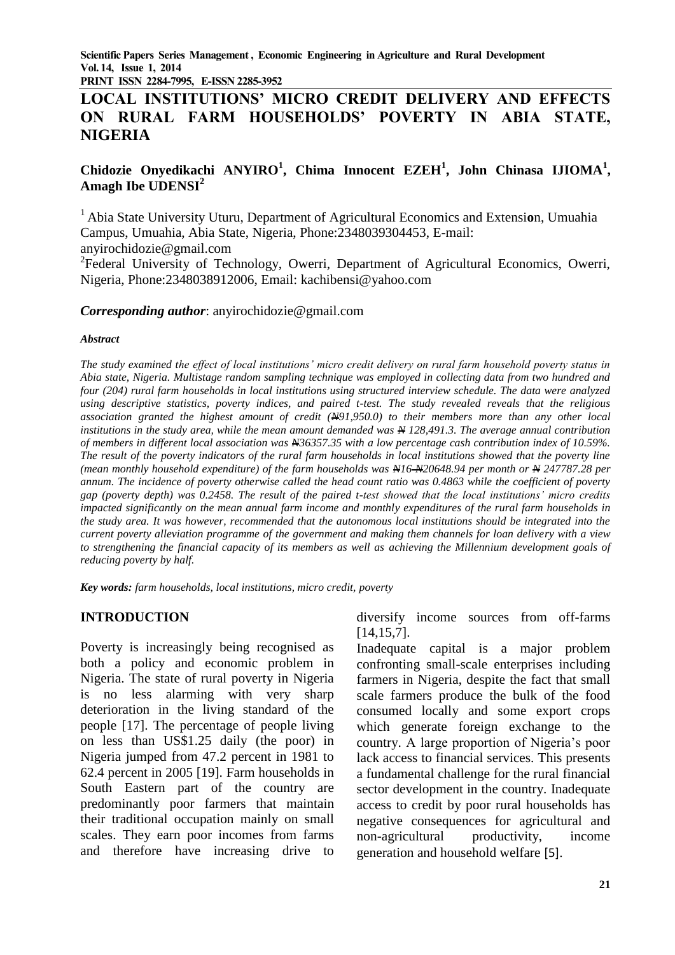**PRINT ISSN 2284-7995, E-ISSN 2285-3952** 

# **LOCAL INSTITUTIONS' MICRO CREDIT DELIVERY AND EFFECTS ON RURAL FARM HOUSEHOLDS' POVERTY IN ABIA STATE, NIGERIA**

## **Chidozie Onyedikachi ANYIRO<sup>1</sup> , Chima Innocent EZEH<sup>1</sup> , John Chinasa IJIOMA<sup>1</sup> , Amagh Ibe UDENSI<sup>2</sup>**

<sup>1</sup>Abia State University Uturu, Department of Agricultural Economics and Extensi**o**n, Umuahia Campus, Umuahia, Abia State, Nigeria, Phone:2348039304453, E-mail: anyirochidozie@gmail.com

<sup>2</sup>Federal University of Technology, Owerri, Department of Agricultural Economics, Owerri, Nigeria, Phone:2348038912006, Email: kachibensi@yahoo.com

#### *Corresponding author*: anyirochidozie@gmail.com

#### *Abstract*

*The study examined the effect of local institutions' micro credit delivery on rural farm household poverty status in Abia state, Nigeria. Multistage random sampling technique was employed in collecting data from two hundred and four (204) rural farm households in local institutions using structured interview schedule. The data were analyzed using descriptive statistics, poverty indices, and paired t-test. The study revealed reveals that the religious association granted the highest amount of credit (N91,950.0) to their members more than any other local institutions in the study area, while the mean amount demanded was N 128,491.3. The average annual contribution of members in different local association was N36357.35 with a low percentage cash contribution index of 10.59%. The result of the poverty indicators of the rural farm households in local institutions showed that the poverty line (mean monthly household expenditure) of the farm households was N16 N20648.94 per month or N 247787.28 per annum. The incidence of poverty otherwise called the head count ratio was 0.4863 while the coefficient of poverty gap (poverty depth) was 0.2458. The result of the paired t-test showed that the local institutions' micro credits impacted significantly on the mean annual farm income and monthly expenditures of the rural farm households in the study area. It was however, recommended that the autonomous local institutions should be integrated into the current poverty alleviation programme of the government and making them channels for loan delivery with a view to strengthening the financial capacity of its members as well as achieving the Millennium development goals of reducing poverty by half.*

*Key words: farm households, local institutions, micro credit, poverty*

#### **INTRODUCTION**

Poverty is increasingly being recognised as both a policy and economic problem in Nigeria. The state of rural poverty in Nigeria is no less alarming with very sharp deterioration in the living standard of the people [17]. The percentage of people living on less than US\$1.25 daily (the poor) in Nigeria jumped from 47.2 percent in 1981 to 62.4 percent in 2005 [19]. Farm households in South Eastern part of the country are predominantly poor farmers that maintain their traditional occupation mainly on small scales. They earn poor incomes from farms and therefore have increasing drive to

diversify income sources from off-farms [14,15,7].

Inadequate capital is a major problem confronting small-scale enterprises including farmers in Nigeria, despite the fact that small scale farmers produce the bulk of the food consumed locally and some export crops which generate foreign exchange to the country. A large proportion of Nigeria's poor lack access to financial services. This presents a fundamental challenge for the rural financial sector development in the country. Inadequate access to credit by poor rural households has negative consequences for agricultural and non-agricultural productivity, income generation and household welfare [5].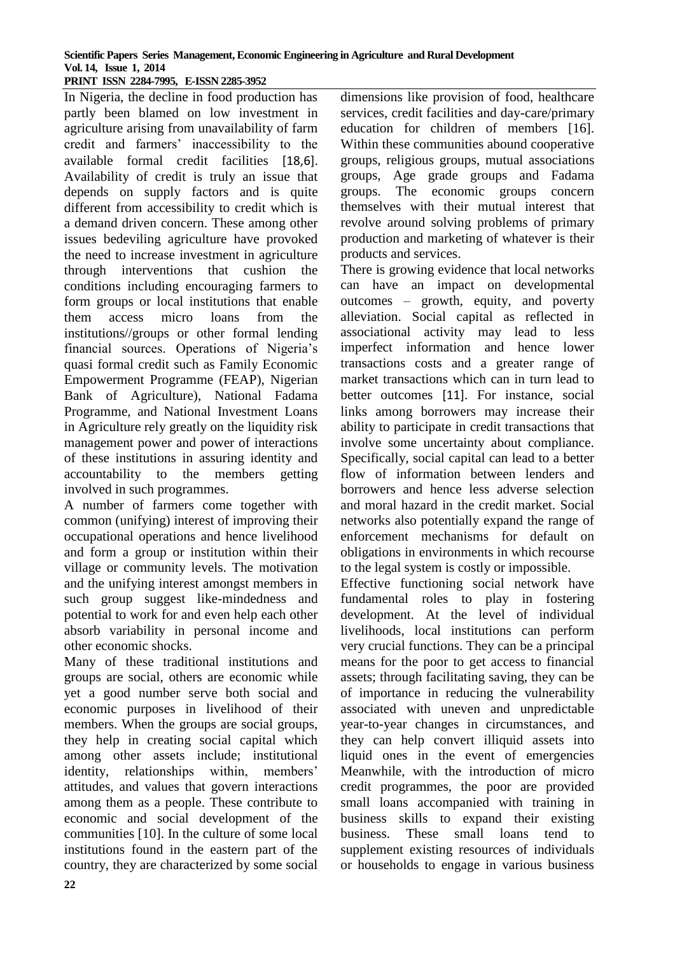#### **Scientific Papers Series Management, Economic Engineering in Agriculture and Rural Development Vol. 14, Issue 1, 2014 PRINT ISSN 2284-7995, E-ISSN 2285-3952**

In Nigeria, the decline in food production has partly been blamed on low investment in agriculture arising from unavailability of farm credit and farmers' inaccessibility to the available formal credit facilities [18,6]. Availability of credit is truly an issue that depends on supply factors and is quite different from accessibility to credit which is a demand driven concern. These among other issues bedeviling agriculture have provoked the need to increase investment in agriculture through interventions that cushion the conditions including encouraging farmers to form groups or local institutions that enable them access micro loans from the institutions//groups or other formal lending financial sources. Operations of Nigeria's quasi formal credit such as Family Economic Empowerment Programme (FEAP), Nigerian Bank of Agriculture), National Fadama Programme, and National Investment Loans in Agriculture rely greatly on the liquidity risk management power and power of interactions of these institutions in assuring identity and accountability to the members getting involved in such programmes.

A number of farmers come together with common (unifying) interest of improving their occupational operations and hence livelihood and form a group or institution within their village or community levels. The motivation and the unifying interest amongst members in such group suggest like-mindedness and potential to work for and even help each other absorb variability in personal income and other economic shocks.

Many of these traditional institutions and groups are social, others are economic while yet a good number serve both social and economic purposes in livelihood of their members. When the groups are social groups, they help in creating social capital which among other assets include; institutional identity, relationships within, members' attitudes, and values that govern interactions among them as a people. These contribute to economic and social development of the communities [10]. In the culture of some local institutions found in the eastern part of the country, they are characterized by some social

dimensions like provision of food, healthcare services, credit facilities and day-care/primary education for children of members [16]. Within these communities abound cooperative groups, religious groups, mutual associations groups, Age grade groups and Fadama groups. The economic groups concern themselves with their mutual interest that revolve around solving problems of primary production and marketing of whatever is their products and services.

There is growing evidence that local networks can have an impact on developmental outcomes – growth, equity, and poverty alleviation. Social capital as reflected in associational activity may lead to less imperfect information and hence lower transactions costs and a greater range of market transactions which can in turn lead to better outcomes [11]. For instance, social links among borrowers may increase their ability to participate in credit transactions that involve some uncertainty about compliance. Specifically, social capital can lead to a better flow of information between lenders and borrowers and hence less adverse selection and moral hazard in the credit market. Social networks also potentially expand the range of enforcement mechanisms for default on obligations in environments in which recourse to the legal system is costly or impossible.

Effective functioning social network have fundamental roles to play in fostering development. At the level of individual livelihoods, local institutions can perform very crucial functions. They can be a principal means for the poor to get access to financial assets; through facilitating saving, they can be of importance in reducing the vulnerability associated with uneven and unpredictable year-to-year changes in circumstances, and they can help convert illiquid assets into liquid ones in the event of emergencies Meanwhile, with the introduction of micro credit programmes, the poor are provided small loans accompanied with training in business skills to expand their existing business. These small loans tend to supplement existing resources of individuals or households to engage in various business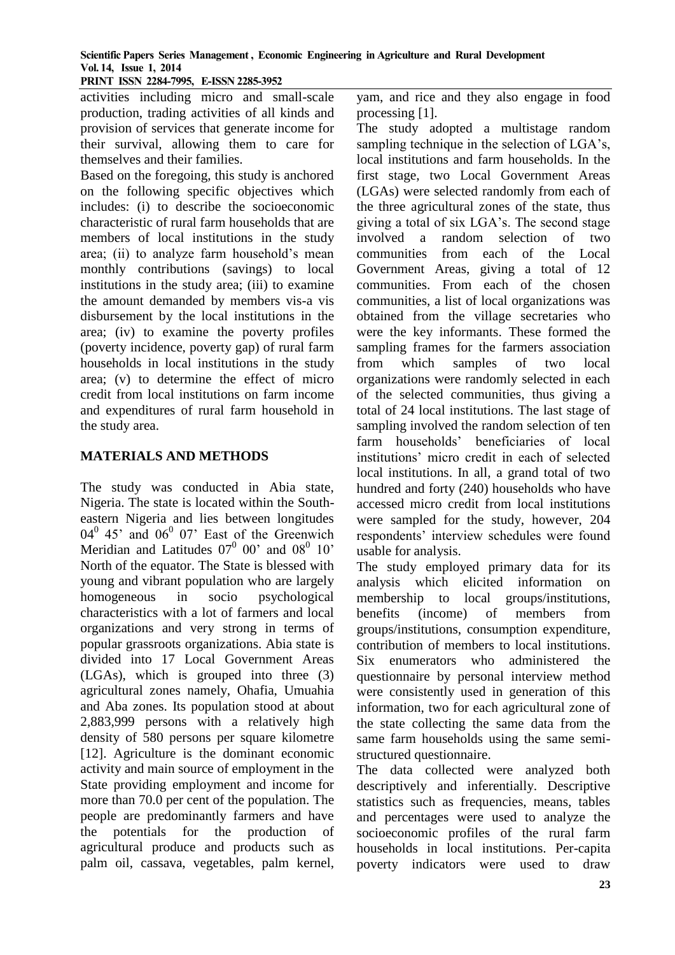**PRINT ISSN 2284-7995, E-ISSN 2285-3952** 

activities including micro and small-scale production, trading activities of all kinds and provision of services that generate income for their survival, allowing them to care for themselves and their families.

Based on the foregoing, this study is anchored on the following specific objectives which includes: (i) to describe the socioeconomic characteristic of rural farm households that are members of local institutions in the study area; (ii) to analyze farm household's mean monthly contributions (savings) to local institutions in the study area; (iii) to examine the amount demanded by members vis-a vis disbursement by the local institutions in the area; (iv) to examine the poverty profiles (poverty incidence, poverty gap) of rural farm households in local institutions in the study area; (v) to determine the effect of micro credit from local institutions on farm income and expenditures of rural farm household in the study area.

### **MATERIALS AND METHODS**

The study was conducted in Abia state, Nigeria. The state is located within the Southeastern Nigeria and lies between longitudes  $04^0$  45' and  $06^0$  07' East of the Greenwich Meridian and Latitudes  $07^0$  00' and  $08^0$  10' North of the equator. The State is blessed with young and vibrant population who are largely homogeneous in socio psychological characteristics with a lot of farmers and local organizations and very strong in terms of popular grassroots organizations. Abia state is divided into 17 Local Government Areas (LGAs), which is grouped into three (3) agricultural zones namely, Ohafia, Umuahia and Aba zones. Its population stood at about 2,883,999 persons with a relatively high density of 580 persons per square kilometre [12]. Agriculture is the dominant economic activity and main source of employment in the State providing employment and income for more than 70.0 per cent of the population. The people are predominantly farmers and have the potentials for the production of agricultural produce and products such as palm oil, cassava, vegetables, palm kernel,

yam, and rice and they also engage in food processing [1].

The study adopted a multistage random sampling technique in the selection of LGA's, local institutions and farm households. In the first stage, two Local Government Areas (LGAs) were selected randomly from each of the three agricultural zones of the state, thus giving a total of six LGA's. The second stage involved a random selection of two communities from each of the Local Government Areas, giving a total of 12 communities. From each of the chosen communities, a list of local organizations was obtained from the village secretaries who were the key informants. These formed the sampling frames for the farmers association from which samples of two local organizations were randomly selected in each of the selected communities, thus giving a total of 24 local institutions. The last stage of sampling involved the random selection of ten farm households' beneficiaries of local institutions' micro credit in each of selected local institutions. In all, a grand total of two hundred and forty (240) households who have accessed micro credit from local institutions were sampled for the study, however, 204 respondents' interview schedules were found usable for analysis.

The study employed primary data for its analysis which elicited information on membership to local groups/institutions, benefits (income) of members from groups/institutions, consumption expenditure, contribution of members to local institutions. Six enumerators who administered the questionnaire by personal interview method were consistently used in generation of this information, two for each agricultural zone of the state collecting the same data from the same farm households using the same semistructured questionnaire.

The data collected were analyzed both descriptively and inferentially. Descriptive statistics such as frequencies, means, tables and percentages were used to analyze the socioeconomic profiles of the rural farm households in local institutions. Per-capita poverty indicators were used to draw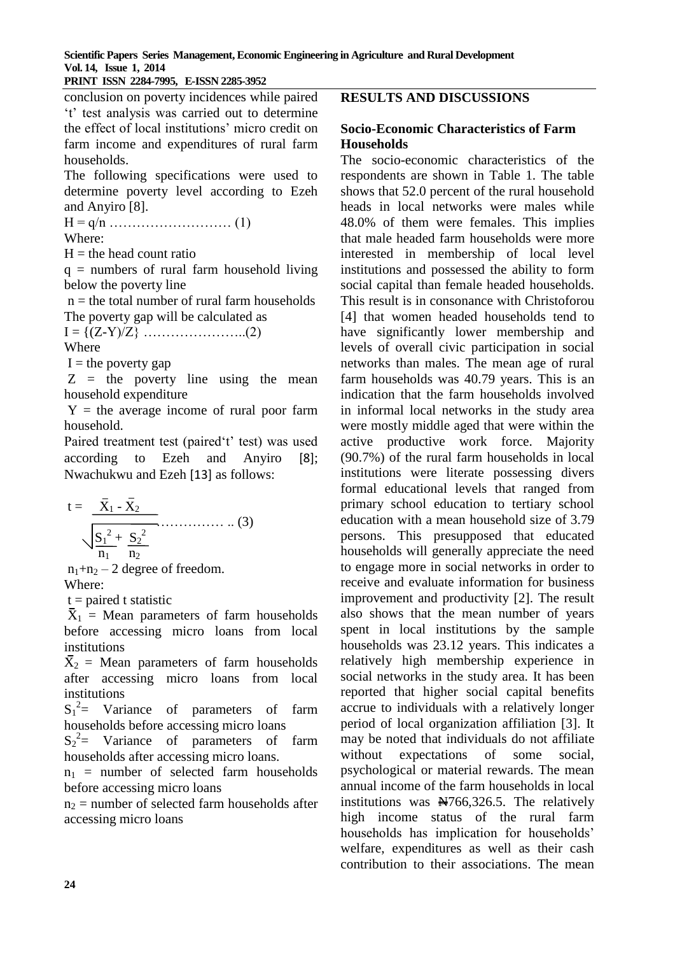**PRINT ISSN 2284-7995, E-ISSN 2285-3952** 

conclusion on poverty incidences while paired 't' test analysis was carried out to determine the effect of local institutions' micro credit on farm income and expenditures of rural farm households.

The following specifications were used to determine poverty level according to Ezeh and Anyiro [8].

H = q/n ……………………… (1) Where:

 $H =$  the head count ratio

 $q =$  numbers of rural farm household living below the poverty line

 $n =$  the total number of rural farm households The poverty gap will be calculated as

$$
I = \{(Z-Y)/Z\} \dots (2)
$$
  
Where

 $I =$  the poverty gap

 $Z =$  the poverty line using the mean household expenditure

 $Y =$  the average income of rural poor farm household.

Paired treatment test (paired't' test) was used according to Ezeh and Anyiro [8]; Nwachukwu and Ezeh [13] as follows:

$$
t = \frac{\bar{X}_1 - \bar{X}_2}{\sqrt{\frac{S_1^2 + S_2^2}{n_1 - n_2}}}
$$
(3)

 $n_1+n_2-2$  degree of freedom. Where:

 $t =$  paired t statistic

 $\bar{X}_1$  = Mean parameters of farm households before accessing micro loans from local institutions

 $\overline{X}_2$  = Mean parameters of farm households after accessing micro loans from local institutions

 $S_1^2$  Variance of parameters of farm households before accessing micro loans

 $S_2^2$  Variance of parameters of farm households after accessing micro loans.

 $n_1$  = number of selected farm households before accessing micro loans

 $n_2$  = number of selected farm households after accessing micro loans

### **RESULTS AND DISCUSSIONS**

#### **Socio-Economic Characteristics of Farm Households**

The socio-economic characteristics of the respondents are shown in Table 1. The table shows that 52.0 percent of the rural household heads in local networks were males while 48.0% of them were females. This implies that male headed farm households were more interested in membership of local level institutions and possessed the ability to form social capital than female headed households. This result is in consonance with Christoforou [4] that women headed households tend to have significantly lower membership and levels of overall civic participation in social networks than males. The mean age of rural farm households was 40.79 years. This is an indication that the farm households involved in informal local networks in the study area were mostly middle aged that were within the active productive work force. Majority (90.7%) of the rural farm households in local institutions were literate possessing divers formal educational levels that ranged from primary school education to tertiary school education with a mean household size of 3.79 persons. This presupposed that educated households will generally appreciate the need to engage more in social networks in order to receive and evaluate information for business improvement and productivity [2]. The result also shows that the mean number of years spent in local institutions by the sample households was 23.12 years. This indicates a relatively high membership experience in social networks in the study area. It has been reported that higher social capital benefits accrue to individuals with a relatively longer period of local organization affiliation [3]. It may be noted that individuals do not affiliate without expectations of some social, psychological or material rewards. The mean annual income of the farm households in local institutions was No. 326.5. The relatively high income status of the rural farm households has implication for households' welfare, expenditures as well as their cash contribution to their associations. The mean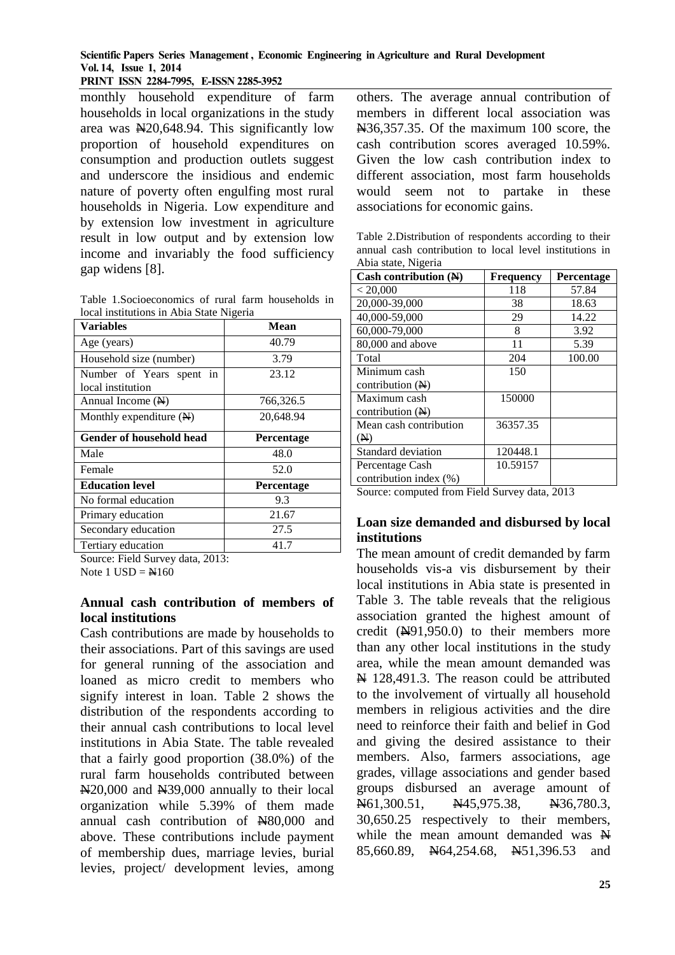**PRINT ISSN 2284-7995, E-ISSN 2285-3952** 

monthly household expenditure of farm households in local organizations in the study area was  $\text{N}_20,648.94$ . This significantly low proportion of household expenditures on consumption and production outlets suggest and underscore the insidious and endemic nature of poverty often engulfing most rural households in Nigeria. Low expenditure and by extension low investment in agriculture result in low output and by extension low income and invariably the food sufficiency gap widens [8].

Table 1.Socioeconomics of rural farm households in local institutions in Abia State Nigeria

| <b>Variables</b>                   | Mean              |
|------------------------------------|-------------------|
| Age (years)                        | 40.79             |
| Household size (number)            | 3.79              |
| Number of Years spent in           | 23.12             |
| local institution                  |                   |
| Annual Income (N)                  | 766,326.5         |
| Monthly expenditure $(\mathbb{N})$ | 20,648.94         |
| Gender of household head           | Percentage        |
| Male                               | 48.0              |
| Female                             | 52.0              |
| <b>Education level</b>             | <b>Percentage</b> |
| No formal education                | 9.3               |
| Primary education                  | 21.67             |
| Secondary education                | 27.5              |
| Tertiary education                 | 41.7              |

Source: Field Survey data, 2013:

Note  $1$  USD =  $\cancel{\text{N}}160$ 

### **Annual cash contribution of members of local institutions**

Cash contributions are made by households to their associations. Part of this savings are used for general running of the association and loaned as micro credit to members who signify interest in loan. Table 2 shows the distribution of the respondents according to their annual cash contributions to local level institutions in Abia State. The table revealed that a fairly good proportion (38.0%) of the rural farm households contributed between N20,000 and N39,000 annually to their local organization while 5.39% of them made annual cash contribution of N80,000 and above. These contributions include payment of membership dues, marriage levies, burial levies, project/ development levies, among others. The average annual contribution of members in different local association was N36,357.35. Of the maximum 100 score, the cash contribution scores averaged 10.59%. Given the low cash contribution index to different association, most farm households would seem not to partake in these associations for economic gains.

Table 2.Distribution of respondents according to their annual cash contribution to local level institutions in Abia state, Nigeria

| Cash contribution $(\mathbb{N})$ | <b>Frequency</b> | Percentage |  |
|----------------------------------|------------------|------------|--|
| < 20,000                         | 118              | 57.84      |  |
| 20,000-39,000                    | 38               | 18.63      |  |
| 40,000-59,000                    | 29               | 14.22      |  |
| 60,000-79,000                    | 8                | 3.92       |  |
| 80,000 and above                 | 11               | 5.39       |  |
| Total                            | 204              | 100.00     |  |
| Minimum cash                     | 150              |            |  |
| contribution $(\mathbb{H})$      |                  |            |  |
| Maximum cash                     | 150000           |            |  |
| contribution $(\mathbb{H})$      |                  |            |  |
| Mean cash contribution           | 36357.35         |            |  |
| (M)                              |                  |            |  |
| Standard deviation               | 120448.1         |            |  |
| Percentage Cash                  | 10.59157         |            |  |
| contribution index (%)           |                  |            |  |

Source: computed from Field Survey data, 2013

## **Loan size demanded and disbursed by local institutions**

The mean amount of credit demanded by farm households vis-a vis disbursement by their local institutions in Abia state is presented in Table 3. The table reveals that the religious association granted the highest amount of credit  $(A91.950.0)$  to their members more than any other local institutions in the study area, while the mean amount demanded was  $\overline{H}$  128,491.3. The reason could be attributed to the involvement of virtually all household members in religious activities and the dire need to reinforce their faith and belief in God and giving the desired assistance to their members. Also, farmers associations, age grades, village associations and gender based groups disbursed an average amount of N61,300.51, N45,975.38, N36,780.3, 30,650.25 respectively to their members, while the mean amount demanded was  $\mathbb{H}$ 85,660.89, N64,254.68, N51,396.53 and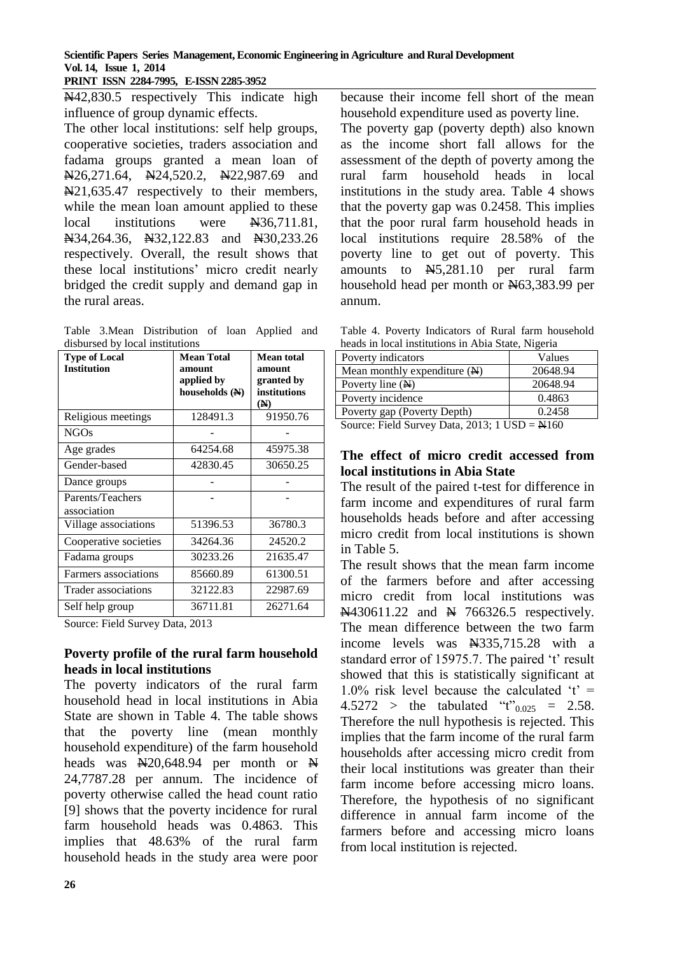**Scientific Papers Series Management, Economic Engineering in Agriculture and Rural Development Vol. 14, Issue 1, 2014**

**PRINT ISSN 2284-7995, E-ISSN 2285-3952** 

N42,830.5 respectively This indicate high influence of group dynamic effects.

The other local institutions: self help groups, cooperative societies, traders association and fadama groups granted a mean loan of N26,271.64, N24,520.2, N22,987.69 and N21,635.47 respectively to their members, while the mean loan amount applied to these local institutions were N36,711.81, N34,264.36, N32,122.83 and N30,233.26 respectively. Overall, the result shows that these local institutions' micro credit nearly bridged the credit supply and demand gap in the rural areas.

Table 3.Mean Distribution of loan Applied and disbursed by local institutions

| <b>Type of Local</b><br><b>Institution</b> | <b>Mean Total</b><br>amount<br>applied by<br>households (N) | <b>Mean total</b><br>amount<br>granted by<br>institutions<br>(N) |
|--------------------------------------------|-------------------------------------------------------------|------------------------------------------------------------------|
| Religious meetings                         | 128491.3                                                    | 91950.76                                                         |
| <b>NGOs</b>                                |                                                             |                                                                  |
| Age grades                                 | 64254.68                                                    | 45975.38                                                         |
| Gender-based                               | 42830.45                                                    | 30650.25                                                         |
| Dance groups                               |                                                             |                                                                  |
| Parents/Teachers<br>association            |                                                             |                                                                  |
| Village associations                       | 51396.53                                                    | 36780.3                                                          |
| Cooperative societies                      | 34264.36                                                    | 24520.2                                                          |
| Fadama groups                              | 30233.26                                                    | 21635.47                                                         |
| Farmers associations                       | 85660.89                                                    | 61300.51                                                         |
| Trader associations                        | 32122.83                                                    | 22987.69                                                         |
| Self help group                            | 36711.81                                                    | 26271.64                                                         |

Source: Field Survey Data, 2013

#### **Poverty profile of the rural farm household heads in local institutions**

The poverty indicators of the rural farm household head in local institutions in Abia State are shown in Table 4. The table shows that the poverty line (mean monthly household expenditure) of the farm household heads was  $N20,648.94$  per month or  $N$ 24,7787.28 per annum. The incidence of poverty otherwise called the head count ratio [9] shows that the poverty incidence for rural farm household heads was 0.4863. This implies that 48.63% of the rural farm household heads in the study area were poor

because their income fell short of the mean household expenditure used as poverty line.

The poverty gap (poverty depth) also known as the income short fall allows for the assessment of the depth of poverty among the rural farm household heads in local institutions in the study area. Table 4 shows that the poverty gap was 0.2458. This implies that the poor rural farm household heads in local institutions require 28.58% of the poverty line to get out of poverty. This amounts to N5,281.10 per rural farm household head per month or N63,383.99 per annum.

Table 4. Poverty Indicators of Rural farm household heads in local institutions in Abia State, Nigeria

| Poverty indicators             | Values       |  |  |
|--------------------------------|--------------|--|--|
| Mean monthly expenditure $(N)$ | 20648.94     |  |  |
| Poverty line $(N)$             | 20648.94     |  |  |
| Poverty incidence              | 0.4863       |  |  |
| Poverty gap (Poverty Depth)    | 0.2458       |  |  |
| $\sim$<br>______<br>----       | . . <i>.</i> |  |  |

Source: Field Survey Data, 2013; 1 USD = N160

## **The effect of micro credit accessed from local institutions in Abia State**

The result of the paired t-test for difference in farm income and expenditures of rural farm households heads before and after accessing micro credit from local institutions is shown in Table 5.

The result shows that the mean farm income of the farmers before and after accessing micro credit from local institutions was  $\overline{N4}$ 30611.22 and  $\overline{N}$  766326.5 respectively. The mean difference between the two farm income levels was N335,715.28 with a standard error of 15975.7. The paired 't' result showed that this is statistically significant at 1.0% risk level because the calculated  $t' =$ 4.5272 > the tabulated " $t$ "<sub>0.025</sub> = 2.58. Therefore the null hypothesis is rejected. This implies that the farm income of the rural farm households after accessing micro credit from their local institutions was greater than their farm income before accessing micro loans. Therefore, the hypothesis of no significant difference in annual farm income of the farmers before and accessing micro loans from local institution is rejected.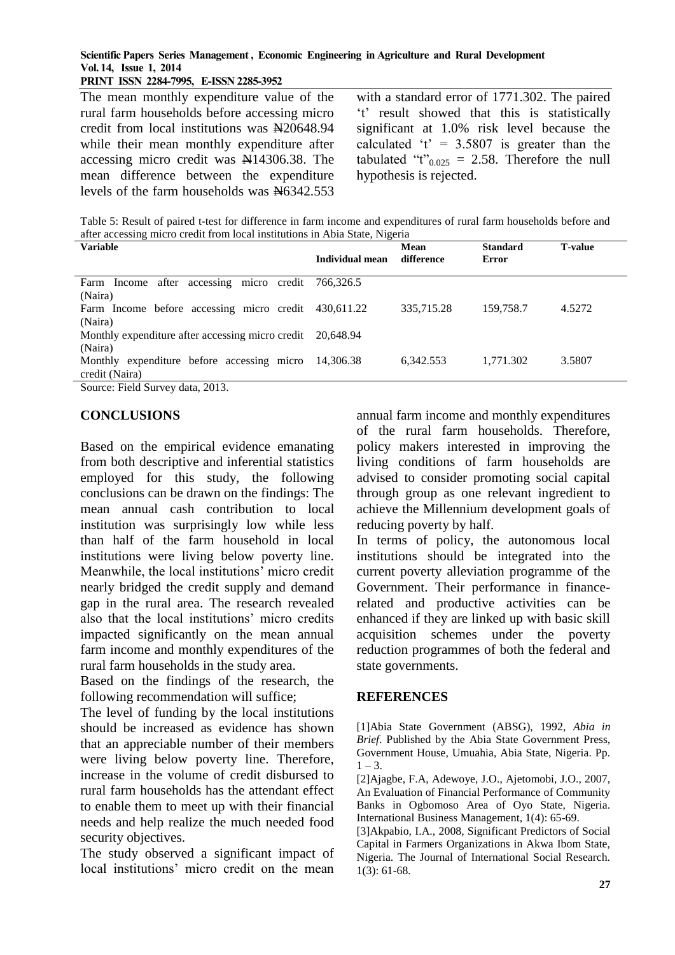**PRINT ISSN 2284-7995, E-ISSN 2285-3952** 

The mean monthly expenditure value of the rural farm households before accessing micro credit from local institutions was N20648.94 while their mean monthly expenditure after accessing micro credit was N14306.38. The mean difference between the expenditure levels of the farm households was  $\frac{N6342.553}{N6342.553}$ 

with a standard error of 1771.302. The paired 't' result showed that this is statistically significant at 1.0% risk level because the calculated 't' =  $3.5807$  is greater than the tabulated "t" $_{0.025}$  = 2.58. Therefore the null hypothesis is rejected.

Table 5: Result of paired t-test for difference in farm income and expenditures of rural farm households before and after accessing micro credit from local institutions in Abia State, Nigeria

| <b>Variable</b>                                            | Individual mean | Mean<br>difference | <b>Standard</b><br>Error | <b>T-value</b> |
|------------------------------------------------------------|-----------------|--------------------|--------------------------|----------------|
|                                                            |                 |                    |                          |                |
| Farm Income after accessing micro credit                   | 766.326.5       |                    |                          |                |
| (Naira)                                                    |                 |                    |                          |                |
| Farm Income before accessing micro credit                  | 430.611.22      | 335,715.28         | 159,758.7                | 4.5272         |
| (Naira)                                                    |                 |                    |                          |                |
| Monthly expenditure after accessing micro credit 20,648.94 |                 |                    |                          |                |
| (Naira)                                                    |                 |                    |                          |                |
| Monthly expenditure before accessing micro                 | 14.306.38       | 6,342.553          | 1,771.302                | 3.5807         |
| credit (Naira)                                             |                 |                    |                          |                |
| Source: Field Survey data 2013                             |                 |                    |                          |                |

Source: Field Survey data, 2013.

### **CONCLUSIONS**

Based on the empirical evidence emanating from both descriptive and inferential statistics employed for this study, the following conclusions can be drawn on the findings: The mean annual cash contribution to local institution was surprisingly low while less than half of the farm household in local institutions were living below poverty line. Meanwhile, the local institutions' micro credit nearly bridged the credit supply and demand gap in the rural area. The research revealed also that the local institutions' micro credits impacted significantly on the mean annual farm income and monthly expenditures of the rural farm households in the study area.

Based on the findings of the research, the following recommendation will suffice;

The level of funding by the local institutions should be increased as evidence has shown that an appreciable number of their members were living below poverty line. Therefore, increase in the volume of credit disbursed to rural farm households has the attendant effect to enable them to meet up with their financial needs and help realize the much needed food security objectives.

The study observed a significant impact of local institutions' micro credit on the mean

annual farm income and monthly expenditures of the rural farm households. Therefore, policy makers interested in improving the living conditions of farm households are advised to consider promoting social capital through group as one relevant ingredient to achieve the Millennium development goals of reducing poverty by half.

In terms of policy, the autonomous local institutions should be integrated into the current poverty alleviation programme of the Government. Their performance in financerelated and productive activities can be enhanced if they are linked up with basic skill acquisition schemes under the poverty reduction programmes of both the federal and state governments.

#### **REFERENCES**

[1]Abia State Government (ABSG), 1992, *Abia in Brief*. Published by the Abia State Government Press, Government House, Umuahia, Abia State, Nigeria. Pp.  $1 - 3$ .

[2]Ajagbe, F.A, Adewoye, J.O., Ajetomobi, J.O., 2007, An Evaluation of Financial Performance of Community Banks in Ogbomoso Area of Oyo State, Nigeria. International Business Management, 1(4): 65-69.

[3]Akpabio, I.A., 2008, Significant Predictors of Social Capital in Farmers Organizations in Akwa Ibom State, Nigeria. The Journal of International Social Research. 1(3): 61-68*.*